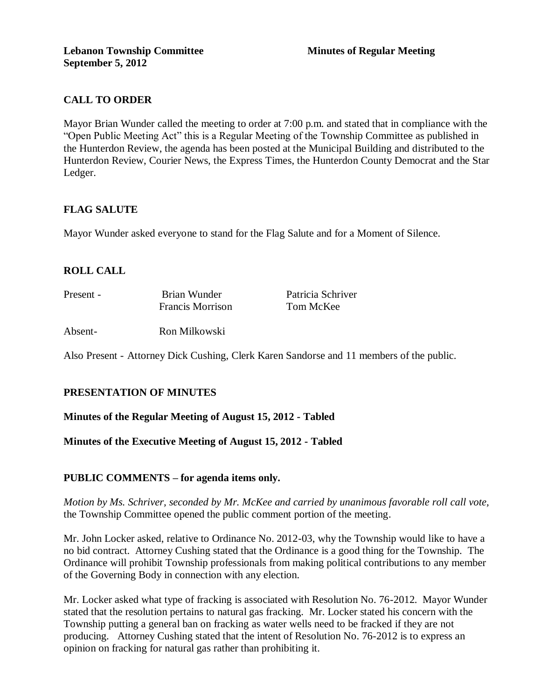# **CALL TO ORDER**

Mayor Brian Wunder called the meeting to order at 7:00 p.m. and stated that in compliance with the "Open Public Meeting Act" this is a Regular Meeting of the Township Committee as published in the Hunterdon Review, the agenda has been posted at the Municipal Building and distributed to the Hunterdon Review, Courier News, the Express Times, the Hunterdon County Democrat and the Star Ledger.

## **FLAG SALUTE**

Mayor Wunder asked everyone to stand for the Flag Salute and for a Moment of Silence.

# **ROLL CALL**

| Present - | Brian Wunder            | Patricia Schriver |
|-----------|-------------------------|-------------------|
|           | <b>Francis Morrison</b> | Tom McKee         |
| Absent-   | Ron Milkowski           |                   |

Also Present - Attorney Dick Cushing, Clerk Karen Sandorse and 11 members of the public.

#### **PRESENTATION OF MINUTES**

#### **Minutes of the Regular Meeting of August 15, 2012 - Tabled**

**Minutes of the Executive Meeting of August 15, 2012 - Tabled** 

#### **PUBLIC COMMENTS – for agenda items only.**

*Motion by Ms. Schriver, seconded by Mr. McKee and carried by unanimous favorable roll call vote,* the Township Committee opened the public comment portion of the meeting.

Mr. John Locker asked, relative to Ordinance No. 2012-03, why the Township would like to have a no bid contract. Attorney Cushing stated that the Ordinance is a good thing for the Township. The Ordinance will prohibit Township professionals from making political contributions to any member of the Governing Body in connection with any election.

Mr. Locker asked what type of fracking is associated with Resolution No. 76-2012. Mayor Wunder stated that the resolution pertains to natural gas fracking. Mr. Locker stated his concern with the Township putting a general ban on fracking as water wells need to be fracked if they are not producing. Attorney Cushing stated that the intent of Resolution No. 76-2012 is to express an opinion on fracking for natural gas rather than prohibiting it.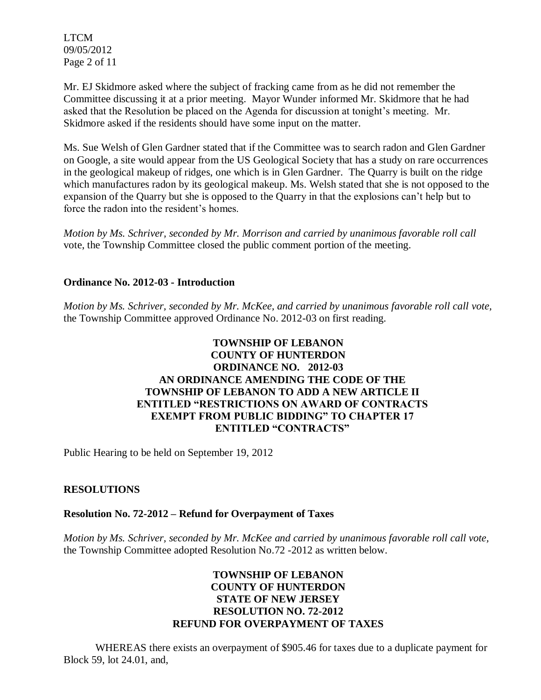LTCM 09/05/2012 Page 2 of 11

Mr. EJ Skidmore asked where the subject of fracking came from as he did not remember the Committee discussing it at a prior meeting. Mayor Wunder informed Mr. Skidmore that he had asked that the Resolution be placed on the Agenda for discussion at tonight's meeting. Mr. Skidmore asked if the residents should have some input on the matter.

Ms. Sue Welsh of Glen Gardner stated that if the Committee was to search radon and Glen Gardner on Google, a site would appear from the US Geological Society that has a study on rare occurrences in the geological makeup of ridges, one which is in Glen Gardner. The Quarry is built on the ridge which manufactures radon by its geological makeup. Ms. Welsh stated that she is not opposed to the expansion of the Quarry but she is opposed to the Quarry in that the explosions can't help but to force the radon into the resident's homes.

*Motion by Ms. Schriver, seconded by Mr. Morrison and carried by unanimous favorable roll call*  vote, the Township Committee closed the public comment portion of the meeting.

## **Ordinance No. 2012-03 - Introduction**

*Motion by Ms. Schriver, seconded by Mr. McKee, and carried by unanimous favorable roll call vote,*  the Township Committee approved Ordinance No. 2012-03 on first reading.

#### **TOWNSHIP OF LEBANON COUNTY OF HUNTERDON ORDINANCE NO. 2012-03 AN ORDINANCE AMENDING THE CODE OF THE TOWNSHIP OF LEBANON TO ADD A NEW ARTICLE II ENTITLED "RESTRICTIONS ON AWARD OF CONTRACTS EXEMPT FROM PUBLIC BIDDING" TO CHAPTER 17 ENTITLED "CONTRACTS"**

Public Hearing to be held on September 19, 2012

## **RESOLUTIONS**

#### **Resolution No. 72-2012 – Refund for Overpayment of Taxes**

*Motion by Ms. Schriver, seconded by Mr. McKee and carried by unanimous favorable roll call vote,* the Township Committee adopted Resolution No.72 -2012 as written below.

#### **TOWNSHIP OF LEBANON COUNTY OF HUNTERDON STATE OF NEW JERSEY RESOLUTION NO. 72-2012 REFUND FOR OVERPAYMENT OF TAXES**

WHEREAS there exists an overpayment of \$905.46 for taxes due to a duplicate payment for Block 59, lot 24.01, and,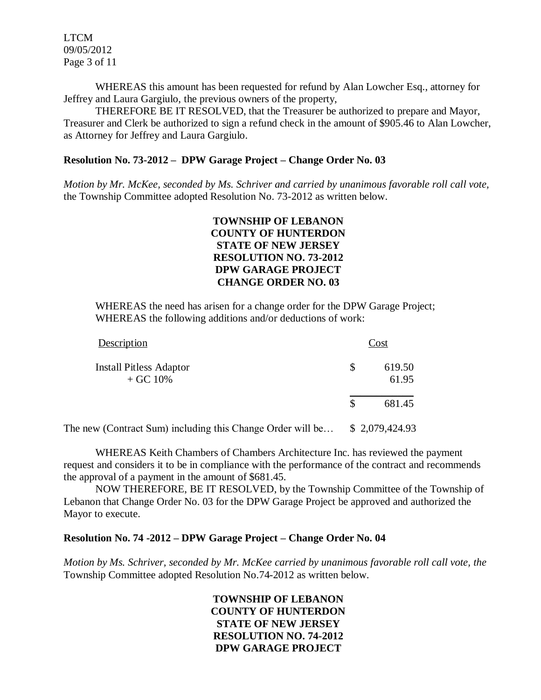LTCM 09/05/2012 Page 3 of 11

WHEREAS this amount has been requested for refund by Alan Lowcher Esq., attorney for Jeffrey and Laura Gargiulo, the previous owners of the property,

THEREFORE BE IT RESOLVED, that the Treasurer be authorized to prepare and Mayor, Treasurer and Clerk be authorized to sign a refund check in the amount of \$905.46 to Alan Lowcher, as Attorney for Jeffrey and Laura Gargiulo.

#### **Resolution No. 73-2012 – DPW Garage Project – Change Order No. 03**

*Motion by Mr. McKee, seconded by Ms. Schriver and carried by unanimous favorable roll call vote,* the Township Committee adopted Resolution No. 73-2012 as written below.

#### **TOWNSHIP OF LEBANON COUNTY OF HUNTERDON STATE OF NEW JERSEY RESOLUTION NO. 73-2012 DPW GARAGE PROJECT CHANGE ORDER NO. 03**

WHEREAS the need has arisen for a change order for the DPW Garage Project; WHEREAS the following additions and/or deductions of work:

| Description                                  |   | Cost            |
|----------------------------------------------|---|-----------------|
| <b>Install Pitless Adaptor</b><br>$+$ GC 10% | S | 619.50<br>61.95 |
|                                              | S | 681.45          |

The new (Contract Sum) including this Change Order will be… \$ 2,079,424.93

WHEREAS Keith Chambers of Chambers Architecture Inc. has reviewed the payment request and considers it to be in compliance with the performance of the contract and recommends the approval of a payment in the amount of \$681.45.

NOW THEREFORE, BE IT RESOLVED, by the Township Committee of the Township of Lebanon that Change Order No. 03 for the DPW Garage Project be approved and authorized the Mayor to execute.

#### **Resolution No. 74 -2012 – DPW Garage Project – Change Order No. 04**

*Motion by Ms. Schriver, seconded by Mr. McKee carried by unanimous favorable roll call vote, the* Township Committee adopted Resolution No.74-2012 as written below.

## **TOWNSHIP OF LEBANON COUNTY OF HUNTERDON STATE OF NEW JERSEY RESOLUTION NO. 74-2012 DPW GARAGE PROJECT**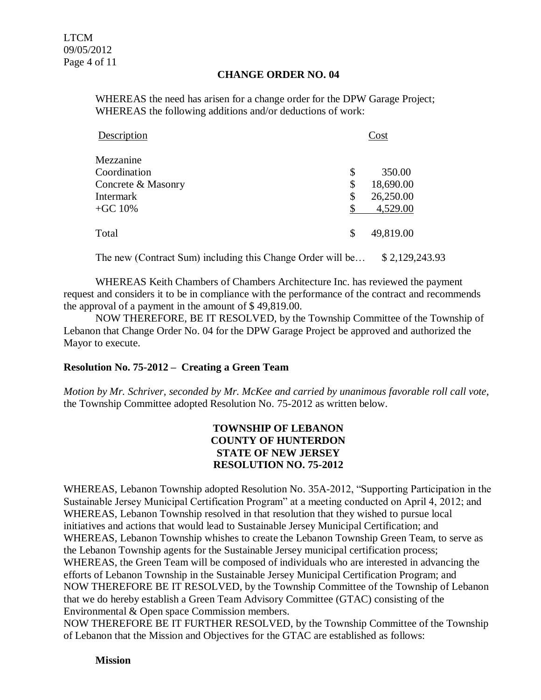#### **CHANGE ORDER NO. 04**

WHEREAS the need has arisen for a change order for the DPW Garage Project; WHEREAS the following additions and/or deductions of work:

| Description        | Cost |           |
|--------------------|------|-----------|
| Mezzanine          |      |           |
| Coordination       | \$   | 350.00    |
| Concrete & Masonry | \$   | 18,690.00 |
| <b>Intermark</b>   | \$   | 26,250.00 |
| $+GC 10%$          |      | 4,529.00  |
| Total              | \$   | 49,819.00 |

The new (Contract Sum) including this Change Order will be… \$ 2,129,243.93

WHEREAS Keith Chambers of Chambers Architecture Inc. has reviewed the payment request and considers it to be in compliance with the performance of the contract and recommends the approval of a payment in the amount of \$ 49,819.00.

NOW THEREFORE, BE IT RESOLVED, by the Township Committee of the Township of Lebanon that Change Order No. 04 for the DPW Garage Project be approved and authorized the Mayor to execute.

## **Resolution No. 75-2012 – Creating a Green Team**

*Motion by Mr. Schriver, seconded by Mr. McKee and carried by unanimous favorable roll call vote,* the Township Committee adopted Resolution No. 75-2012 as written below.

#### **TOWNSHIP OF LEBANON COUNTY OF HUNTERDON STATE OF NEW JERSEY RESOLUTION NO. 75-2012**

WHEREAS, Lebanon Township adopted Resolution No. 35A-2012, "Supporting Participation in the Sustainable Jersey Municipal Certification Program" at a meeting conducted on April 4, 2012; and WHEREAS, Lebanon Township resolved in that resolution that they wished to pursue local initiatives and actions that would lead to Sustainable Jersey Municipal Certification; and WHEREAS, Lebanon Township whishes to create the Lebanon Township Green Team, to serve as the Lebanon Township agents for the Sustainable Jersey municipal certification process; WHEREAS, the Green Team will be composed of individuals who are interested in advancing the efforts of Lebanon Township in the Sustainable Jersey Municipal Certification Program; and NOW THEREFORE BE IT RESOLVED, by the Township Committee of the Township of Lebanon that we do hereby establish a Green Team Advisory Committee (GTAC) consisting of the Environmental & Open space Commission members.

NOW THEREFORE BE IT FURTHER RESOLVED, by the Township Committee of the Township of Lebanon that the Mission and Objectives for the GTAC are established as follows:

**Mission**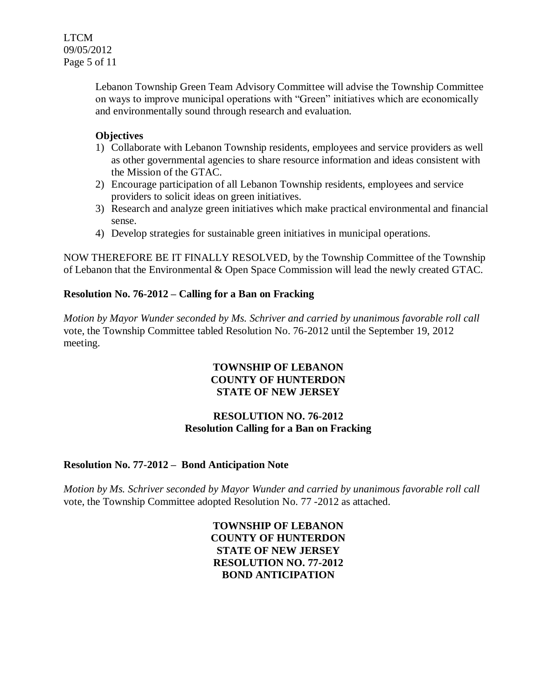Lebanon Township Green Team Advisory Committee will advise the Township Committee on ways to improve municipal operations with "Green" initiatives which are economically and environmentally sound through research and evaluation.

#### **Objectives**

- 1) Collaborate with Lebanon Township residents, employees and service providers as well as other governmental agencies to share resource information and ideas consistent with the Mission of the GTAC.
- 2) Encourage participation of all Lebanon Township residents, employees and service providers to solicit ideas on green initiatives.
- 3) Research and analyze green initiatives which make practical environmental and financial sense.
- 4) Develop strategies for sustainable green initiatives in municipal operations.

NOW THEREFORE BE IT FINALLY RESOLVED, by the Township Committee of the Township of Lebanon that the Environmental & Open Space Commission will lead the newly created GTAC.

#### **Resolution No. 76-2012 – Calling for a Ban on Fracking**

*Motion by Mayor Wunder seconded by Ms. Schriver and carried by unanimous favorable roll call*  vote, the Township Committee tabled Resolution No. 76-2012 until the September 19, 2012 meeting.

#### **TOWNSHIP OF LEBANON COUNTY OF HUNTERDON STATE OF NEW JERSEY**

## **RESOLUTION NO. 76-2012 Resolution Calling for a Ban on Fracking**

## **Resolution No. 77-2012 – Bond Anticipation Note**

*Motion by Ms. Schriver seconded by Mayor Wunder and carried by unanimous favorable roll call*  vote, the Township Committee adopted Resolution No. 77 -2012 as attached.

#### **TOWNSHIP OF LEBANON COUNTY OF HUNTERDON STATE OF NEW JERSEY RESOLUTION NO. 77-2012 BOND ANTICIPATION**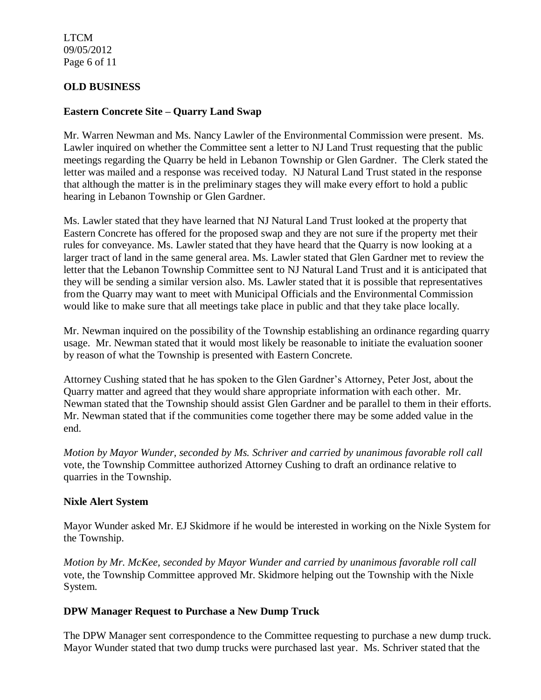LTCM 09/05/2012 Page 6 of 11

## **OLD BUSINESS**

#### **Eastern Concrete Site – Quarry Land Swap**

Mr. Warren Newman and Ms. Nancy Lawler of the Environmental Commission were present. Ms. Lawler inquired on whether the Committee sent a letter to NJ Land Trust requesting that the public meetings regarding the Quarry be held in Lebanon Township or Glen Gardner. The Clerk stated the letter was mailed and a response was received today. NJ Natural Land Trust stated in the response that although the matter is in the preliminary stages they will make every effort to hold a public hearing in Lebanon Township or Glen Gardner.

Ms. Lawler stated that they have learned that NJ Natural Land Trust looked at the property that Eastern Concrete has offered for the proposed swap and they are not sure if the property met their rules for conveyance. Ms. Lawler stated that they have heard that the Quarry is now looking at a larger tract of land in the same general area. Ms. Lawler stated that Glen Gardner met to review the letter that the Lebanon Township Committee sent to NJ Natural Land Trust and it is anticipated that they will be sending a similar version also. Ms. Lawler stated that it is possible that representatives from the Quarry may want to meet with Municipal Officials and the Environmental Commission would like to make sure that all meetings take place in public and that they take place locally.

Mr. Newman inquired on the possibility of the Township establishing an ordinance regarding quarry usage. Mr. Newman stated that it would most likely be reasonable to initiate the evaluation sooner by reason of what the Township is presented with Eastern Concrete.

Attorney Cushing stated that he has spoken to the Glen Gardner's Attorney, Peter Jost, about the Quarry matter and agreed that they would share appropriate information with each other. Mr. Newman stated that the Township should assist Glen Gardner and be parallel to them in their efforts. Mr. Newman stated that if the communities come together there may be some added value in the end.

*Motion by Mayor Wunder, seconded by Ms. Schriver and carried by unanimous favorable roll call*  vote, the Township Committee authorized Attorney Cushing to draft an ordinance relative to quarries in the Township.

#### **Nixle Alert System**

Mayor Wunder asked Mr. EJ Skidmore if he would be interested in working on the Nixle System for the Township.

*Motion by Mr. McKee, seconded by Mayor Wunder and carried by unanimous favorable roll call*  vote, the Township Committee approved Mr. Skidmore helping out the Township with the Nixle System.

#### **DPW Manager Request to Purchase a New Dump Truck**

The DPW Manager sent correspondence to the Committee requesting to purchase a new dump truck. Mayor Wunder stated that two dump trucks were purchased last year. Ms. Schriver stated that the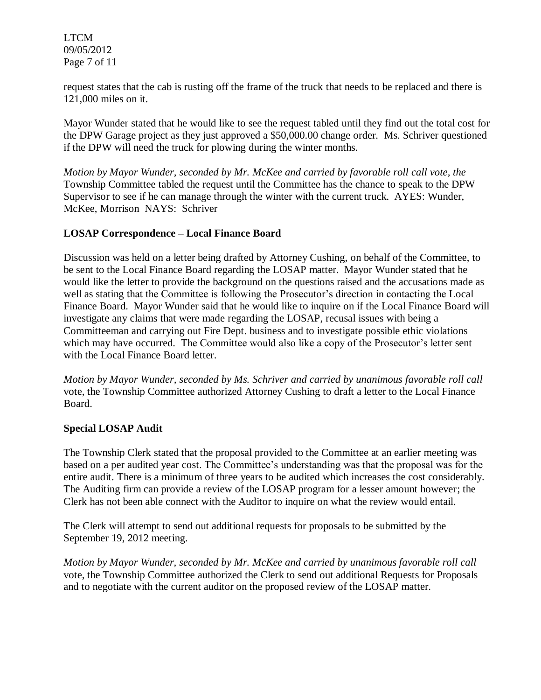LTCM 09/05/2012 Page 7 of 11

request states that the cab is rusting off the frame of the truck that needs to be replaced and there is 121,000 miles on it.

Mayor Wunder stated that he would like to see the request tabled until they find out the total cost for the DPW Garage project as they just approved a \$50,000.00 change order. Ms. Schriver questioned if the DPW will need the truck for plowing during the winter months.

*Motion by Mayor Wunder, seconded by Mr. McKee and carried by favorable roll call vote, the* Township Committee tabled the request until the Committee has the chance to speak to the DPW Supervisor to see if he can manage through the winter with the current truck. AYES: Wunder, McKee, Morrison NAYS: Schriver

## **LOSAP Correspondence – Local Finance Board**

Discussion was held on a letter being drafted by Attorney Cushing, on behalf of the Committee, to be sent to the Local Finance Board regarding the LOSAP matter. Mayor Wunder stated that he would like the letter to provide the background on the questions raised and the accusations made as well as stating that the Committee is following the Prosecutor's direction in contacting the Local Finance Board. Mayor Wunder said that he would like to inquire on if the Local Finance Board will investigate any claims that were made regarding the LOSAP, recusal issues with being a Committeeman and carrying out Fire Dept. business and to investigate possible ethic violations which may have occurred. The Committee would also like a copy of the Prosecutor's letter sent with the Local Finance Board letter.

*Motion by Mayor Wunder, seconded by Ms. Schriver and carried by unanimous favorable roll call*  vote, the Township Committee authorized Attorney Cushing to draft a letter to the Local Finance Board.

#### **Special LOSAP Audit**

The Township Clerk stated that the proposal provided to the Committee at an earlier meeting was based on a per audited year cost. The Committee's understanding was that the proposal was for the entire audit. There is a minimum of three years to be audited which increases the cost considerably. The Auditing firm can provide a review of the LOSAP program for a lesser amount however; the Clerk has not been able connect with the Auditor to inquire on what the review would entail.

The Clerk will attempt to send out additional requests for proposals to be submitted by the September 19, 2012 meeting.

*Motion by Mayor Wunder, seconded by Mr. McKee and carried by unanimous favorable roll call*  vote, the Township Committee authorized the Clerk to send out additional Requests for Proposals and to negotiate with the current auditor on the proposed review of the LOSAP matter.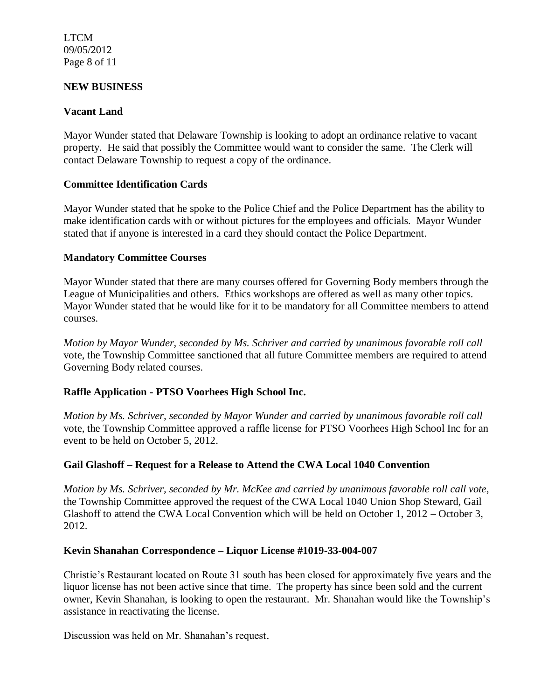LTCM 09/05/2012 Page 8 of 11

#### **NEW BUSINESS**

#### **Vacant Land**

Mayor Wunder stated that Delaware Township is looking to adopt an ordinance relative to vacant property. He said that possibly the Committee would want to consider the same. The Clerk will contact Delaware Township to request a copy of the ordinance.

#### **Committee Identification Cards**

Mayor Wunder stated that he spoke to the Police Chief and the Police Department has the ability to make identification cards with or without pictures for the employees and officials. Mayor Wunder stated that if anyone is interested in a card they should contact the Police Department.

#### **Mandatory Committee Courses**

Mayor Wunder stated that there are many courses offered for Governing Body members through the League of Municipalities and others. Ethics workshops are offered as well as many other topics. Mayor Wunder stated that he would like for it to be mandatory for all Committee members to attend courses.

*Motion by Mayor Wunder, seconded by Ms. Schriver and carried by unanimous favorable roll call*  vote, the Township Committee sanctioned that all future Committee members are required to attend Governing Body related courses.

## **Raffle Application - PTSO Voorhees High School Inc.**

*Motion by Ms. Schriver, seconded by Mayor Wunder and carried by unanimous favorable roll call*  vote, the Township Committee approved a raffle license for PTSO Voorhees High School Inc for an event to be held on October 5, 2012.

## **Gail Glashoff – Request for a Release to Attend the CWA Local 1040 Convention**

*Motion by Ms. Schriver, seconded by Mr. McKee and carried by unanimous favorable roll call vote,* the Township Committee approved the request of the CWA Local 1040 Union Shop Steward, Gail Glashoff to attend the CWA Local Convention which will be held on October 1, 2012 – October 3, 2012.

#### **Kevin Shanahan Correspondence – Liquor License #1019-33-004-007**

Christie's Restaurant located on Route 31 south has been closed for approximately five years and the liquor license has not been active since that time. The property has since been sold and the current owner, Kevin Shanahan, is looking to open the restaurant. Mr. Shanahan would like the Township's assistance in reactivating the license.

Discussion was held on Mr. Shanahan's request.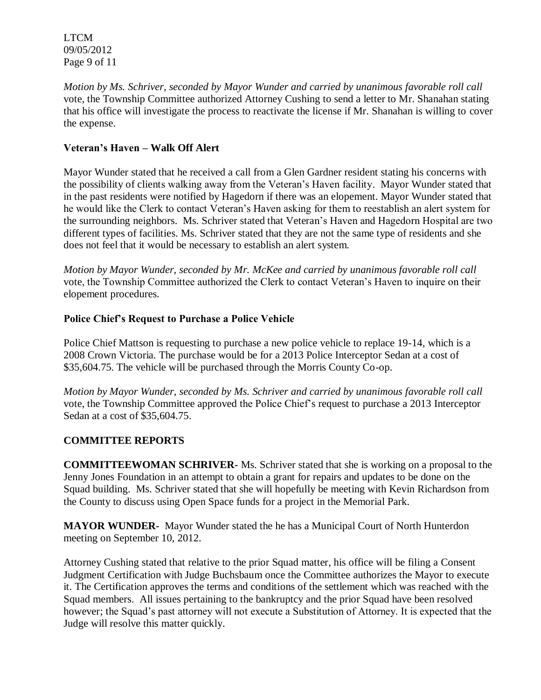LTCM 09/05/2012 Page 9 of 11

*Motion by Ms. Schriver, seconded by Mayor Wunder and carried by unanimous favorable roll call*  vote, the Township Committee authorized Attorney Cushing to send a letter to Mr. Shanahan stating that his office will investigate the process to reactivate the license if Mr. Shanahan is willing to cover the expense.

## **Veteran's Haven – Walk Off Alert**

Mayor Wunder stated that he received a call from a Glen Gardner resident stating his concerns with the possibility of clients walking away from the Veteran's Haven facility. Mayor Wunder stated that in the past residents were notified by Hagedorn if there was an elopement. Mayor Wunder stated that he would like the Clerk to contact Veteran's Haven asking for them to reestablish an alert system for the surrounding neighbors. Ms. Schriver stated that Veteran's Haven and Hagedorn Hospital are two different types of facilities. Ms. Schriver stated that they are not the same type of residents and she does not feel that it would be necessary to establish an alert system.

*Motion by Mayor Wunder, seconded by Mr. McKee and carried by unanimous favorable roll call*  vote, the Township Committee authorized the Clerk to contact Veteran's Haven to inquire on their elopement procedures.

# **Police Chief's Request to Purchase a Police Vehicle**

Police Chief Mattson is requesting to purchase a new police vehicle to replace 19-14, which is a 2008 Crown Victoria. The purchase would be for a 2013 Police Interceptor Sedan at a cost of \$35,604.75. The vehicle will be purchased through the Morris County Co-op.

*Motion by Mayor Wunder, seconded by Ms. Schriver and carried by unanimous favorable roll call*  vote, the Township Committee approved the Police Chief's request to purchase a 2013 Interceptor Sedan at a cost of \$35,604.75.

## **COMMITTEE REPORTS**

**COMMITTEEWOMAN SCHRIVER-** Ms. Schriver stated that she is working on a proposal to the Jenny Jones Foundation in an attempt to obtain a grant for repairs and updates to be done on the Squad building. Ms. Schriver stated that she will hopefully be meeting with Kevin Richardson from the County to discuss using Open Space funds for a project in the Memorial Park.

**MAYOR WUNDER-** Mayor Wunder stated the he has a Municipal Court of North Hunterdon meeting on September 10, 2012.

Attorney Cushing stated that relative to the prior Squad matter, his office will be filing a Consent Judgment Certification with Judge Buchsbaum once the Committee authorizes the Mayor to execute it. The Certification approves the terms and conditions of the settlement which was reached with the Squad members. All issues pertaining to the bankruptcy and the prior Squad have been resolved however; the Squad's past attorney will not execute a Substitution of Attorney. It is expected that the Judge will resolve this matter quickly.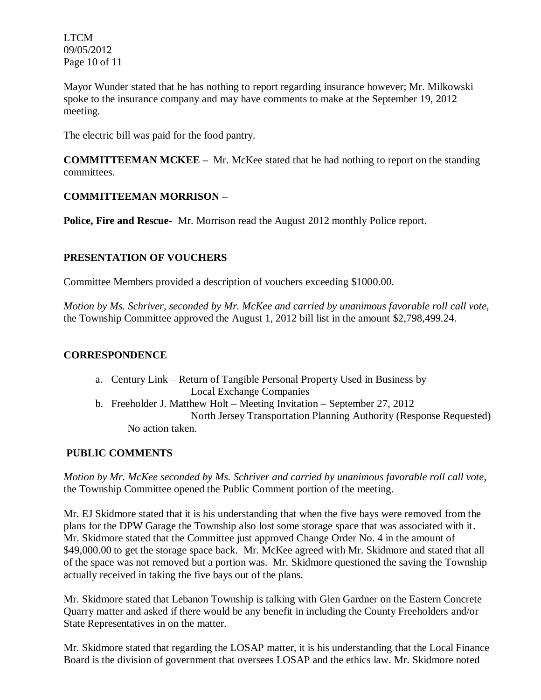LTCM 09/05/2012 Page 10 of 11

Mayor Wunder stated that he has nothing to report regarding insurance however; Mr. Milkowski spoke to the insurance company and may have comments to make at the September 19, 2012 meeting.

The electric bill was paid for the food pantry.

**COMMITTEEMAN MCKEE –** Mr. McKee stated that he had nothing to report on the standing committees.

## **COMMITTEEMAN MORRISON –**

**Police, Fire and Rescue-** Mr. Morrison read the August 2012 monthly Police report.

## **PRESENTATION OF VOUCHERS**

Committee Members provided a description of vouchers exceeding \$1000.00.

*Motion by Ms. Schriver, seconded by Mr. McKee and carried by unanimous favorable roll call vote,* the Township Committee approved the August 1, 2012 bill list in the amount \$2,798,499.24.

## **CORRESPONDENCE**

- a. Century Link Return of Tangible Personal Property Used in Business by Local Exchange Companies
- b. Freeholder J. Matthew Holt Meeting Invitation September 27, 2012 North Jersey Transportation Planning Authority (Response Requested) No action taken.

## **PUBLIC COMMENTS**

*Motion by Mr. McKee seconded by Ms. Schriver and carried by unanimous favorable roll call vote,* the Township Committee opened the Public Comment portion of the meeting.

Mr. EJ Skidmore stated that it is his understanding that when the five bays were removed from the plans for the DPW Garage the Township also lost some storage space that was associated with it. Mr. Skidmore stated that the Committee just approved Change Order No. 4 in the amount of \$49,000.00 to get the storage space back. Mr. McKee agreed with Mr. Skidmore and stated that all of the space was not removed but a portion was. Mr. Skidmore questioned the saving the Township actually received in taking the five bays out of the plans.

Mr. Skidmore stated that Lebanon Township is talking with Glen Gardner on the Eastern Concrete Quarry matter and asked if there would be any benefit in including the County Freeholders and/or State Representatives in on the matter.

Mr. Skidmore stated that regarding the LOSAP matter, it is his understanding that the Local Finance Board is the division of government that oversees LOSAP and the ethics law. Mr. Skidmore noted